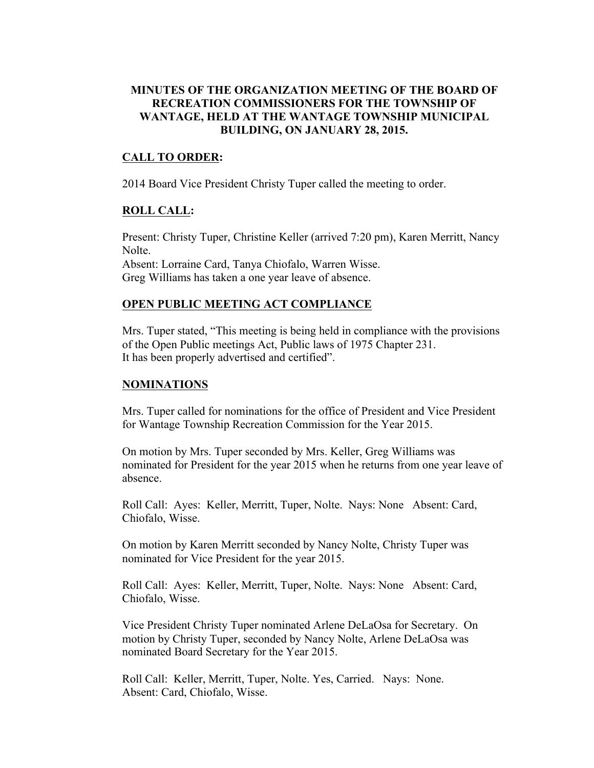## **MINUTES OF THE ORGANIZATION MEETING OF THE BOARD OF RECREATION COMMISSIONERS FOR THE TOWNSHIP OF WANTAGE, HELD AT THE WANTAGE TOWNSHIP MUNICIPAL BUILDING, ON JANUARY 28, 2015.**

## **CALL TO ORDER:**

2014 Board Vice President Christy Tuper called the meeting to order.

## **ROLL CALL:**

Present: Christy Tuper, Christine Keller (arrived 7:20 pm), Karen Merritt, Nancy Nolte. Absent: Lorraine Card, Tanya Chiofalo, Warren Wisse. Greg Williams has taken a one year leave of absence.

## **OPEN PUBLIC MEETING ACT COMPLIANCE**

Mrs. Tuper stated, "This meeting is being held in compliance with the provisions of the Open Public meetings Act, Public laws of 1975 Chapter 231. It has been properly advertised and certified".

#### **NOMINATIONS**

Mrs. Tuper called for nominations for the office of President and Vice President for Wantage Township Recreation Commission for the Year 2015.

On motion by Mrs. Tuper seconded by Mrs. Keller, Greg Williams was nominated for President for the year 2015 when he returns from one year leave of absence.

Roll Call: Ayes: Keller, Merritt, Tuper, Nolte. Nays: None Absent: Card, Chiofalo, Wisse.

On motion by Karen Merritt seconded by Nancy Nolte, Christy Tuper was nominated for Vice President for the year 2015.

Roll Call: Ayes: Keller, Merritt, Tuper, Nolte. Nays: None Absent: Card, Chiofalo, Wisse.

Vice President Christy Tuper nominated Arlene DeLaOsa for Secretary. On motion by Christy Tuper, seconded by Nancy Nolte, Arlene DeLaOsa was nominated Board Secretary for the Year 2015.

Roll Call: Keller, Merritt, Tuper, Nolte. Yes, Carried. Nays: None. Absent: Card, Chiofalo, Wisse.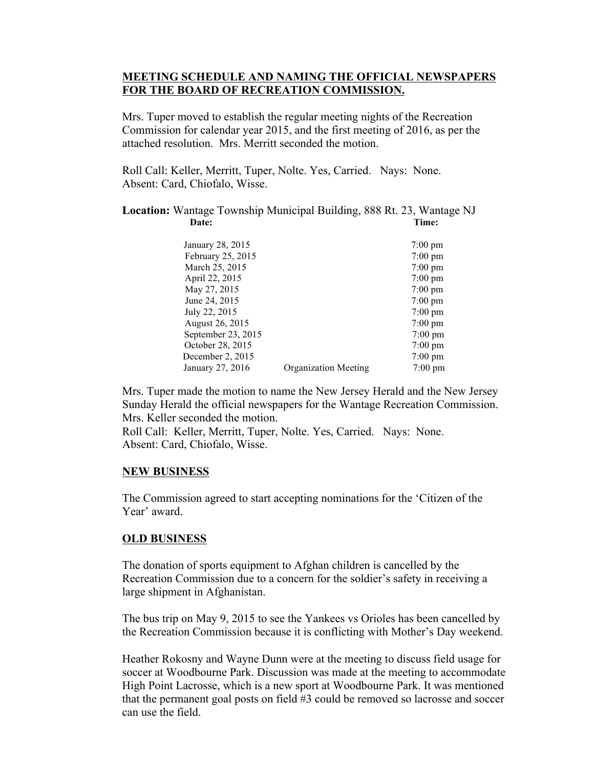## **MEETING SCHEDULE AND NAMING THE OFFICIAL NEWSPAPERS FOR THE BOARD OF RECREATION COMMISSION.**

Mrs. Tuper moved to establish the regular meeting nights of the Recreation Commission for calendar year 2015, and the first meeting of 2016, as per the attached resolution. Mrs. Merritt seconded the motion.

Roll Call: Keller, Merritt, Tuper, Nolte. Yes, Carried. Nays: None. Absent: Card, Chiofalo, Wisse.

**Location:** Wantage Township Municipal Building, 888 Rt. 23, Wantage NJ Date: Time:

| January 28, 2015   |                             | $7:00 \text{ pm}$ |
|--------------------|-----------------------------|-------------------|
| February 25, 2015  |                             | $7:00 \text{ pm}$ |
| March 25, 2015     |                             | $7:00 \text{ pm}$ |
| April 22, 2015     |                             | $7:00 \text{ pm}$ |
| May 27, 2015       |                             | $7:00 \text{ pm}$ |
| June 24, 2015      |                             | $7:00 \text{ pm}$ |
| July 22, 2015      |                             | $7:00 \text{ pm}$ |
| August 26, 2015    |                             | $7:00 \text{ pm}$ |
| September 23, 2015 |                             | $7:00 \text{ pm}$ |
| October 28, 2015   |                             | $7:00 \text{ pm}$ |
| December 2, 2015   |                             | $7:00 \text{ pm}$ |
| January 27, 2016   | <b>Organization Meeting</b> | $7:00 \text{ pm}$ |
|                    |                             |                   |

Mrs. Tuper made the motion to name the New Jersey Herald and the New Jersey Sunday Herald the official newspapers for the Wantage Recreation Commission. Mrs. Keller seconded the motion.

Roll Call: Keller, Merritt, Tuper, Nolte. Yes, Carried. Nays: None. Absent: Card, Chiofalo, Wisse.

#### **NEW BUSINESS**

The Commission agreed to start accepting nominations for the 'Citizen of the Year' award.

#### **OLD BUSINESS**

The donation of sports equipment to Afghan children is cancelled by the Recreation Commission due to a concern for the soldier's safety in receiving a large shipment in Afghanistan.

The bus trip on May 9, 2015 to see the Yankees vs Orioles has been cancelled by the Recreation Commission because it is conflicting with Mother's Day weekend.

Heather Rokosny and Wayne Dunn were at the meeting to discuss field usage for soccer at Woodbourne Park. Discussion was made at the meeting to accommodate High Point Lacrosse, which is a new sport at Woodbourne Park. It was mentioned that the permanent goal posts on field #3 could be removed so lacrosse and soccer can use the field.